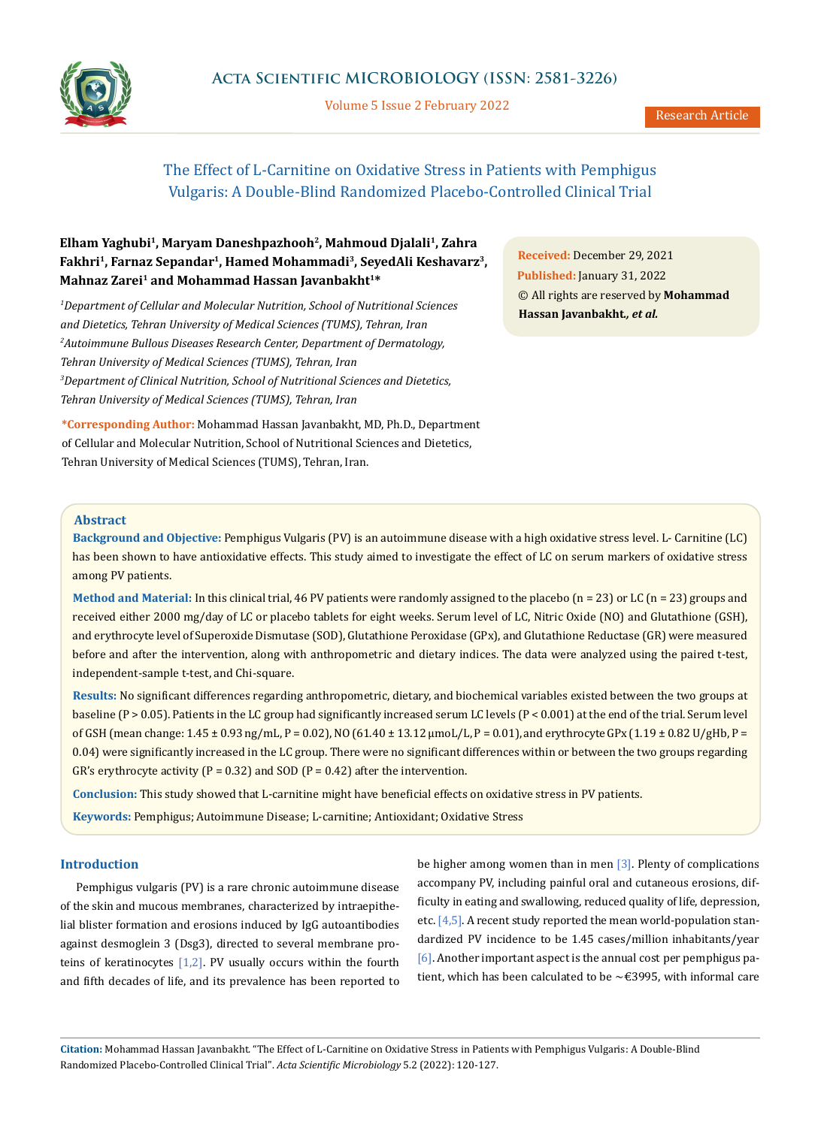

Volume 5 Issue 2 February 2022

# The Effect of L-Carnitine on Oxidative Stress in Patients with Pemphigus Vulgaris: A Double-Blind Randomized Placebo-Controlled Clinical Trial

# **Elham Yaghubi1, Maryam Daneshpazhooh2, Mahmoud Djalali1, Zahra Fakhri1, Farnaz Sepandar1, Hamed Mohammadi3, SeyedAli Keshavarz3,**  Mahnaz Zarei<sup>1</sup> and Mohammad Hassan Javanbakht<sup>1\*</sup>

*1 Department of Cellular and Molecular Nutrition, School of Nutritional Sciences and Dietetics, Tehran University of Medical Sciences (TUMS), Tehran, Iran 2 Autoimmune Bullous Diseases Research Center, Department of Dermatology, Tehran University of Medical Sciences (TUMS), Tehran, Iran 3 Department of Clinical Nutrition, School of Nutritional Sciences and Dietetics, Tehran University of Medical Sciences (TUMS), Tehran, Iran*

**\*Corresponding Author:** Mohammad Hassan Javanbakht, MD, Ph.D., Department of Cellular and Molecular Nutrition, School of Nutritional Sciences and Dietetics, Tehran University of Medical Sciences (TUMS), Tehran, Iran.

**Received:** December 29, 2021 **Published:** January 31, 2022 © All rights are reserved by **Mohammad Hassan Javanbakht***., et al.*

#### **Abstract**

**Background and Objective:** Pemphigus Vulgaris (PV) is an autoimmune disease with a high oxidative stress level. L- Carnitine (LC) has been shown to have antioxidative effects. This study aimed to investigate the effect of LC on serum markers of oxidative stress among PV patients.

Method and Material: In this clinical trial, 46 PV patients were randomly assigned to the placebo (n = 23) or LC (n = 23) groups and received either 2000 mg/day of LC or placebo tablets for eight weeks. Serum level of LC, Nitric Oxide (NO) and Glutathione (GSH), and erythrocyte level of Superoxide Dismutase (SOD), Glutathione Peroxidase (GPx), and Glutathione Reductase (GR) were measured before and after the intervention, along with anthropometric and dietary indices. The data were analyzed using the paired t-test, independent-sample t-test, and Chi-square.

**Results:** No significant differences regarding anthropometric, dietary, and biochemical variables existed between the two groups at baseline (P > 0.05). Patients in the LC group had significantly increased serum LC levels (P < 0.001) at the end of the trial. Serum level of GSH (mean change: 1.45 ± 0.93 ng/mL, P = 0.02), NO (61.40 ± 13.12 µmoL/L, P = 0.01), and erythrocyte GPx (1.19 ± 0.82 U/gHb, P = 0.04) were significantly increased in the LC group. There were no significant differences within or between the two groups regarding GR's erythrocyte activity ( $P = 0.32$ ) and SOD ( $P = 0.42$ ) after the intervention.

**Conclusion:** This study showed that L-carnitine might have beneficial effects on oxidative stress in PV patients.

**Keywords:** Pemphigus; Autoimmune Disease; L-carnitine; Antioxidant; Oxidative Stress

### **Introduction**

Pemphigus vulgaris (PV) is a rare chronic autoimmune disease of the skin and mucous membranes, characterized by intraepithelial blister formation and erosions induced by IgG autoantibodies against desmoglein 3 (Dsg3), directed to several membrane proteins of keratinocytes  $[1,2]$ . PV usually occurs within the fourth and fifth decades of life, and its prevalence has been reported to be higher among women than in men  $[3]$ . Plenty of complications accompany PV, including painful oral and cutaneous erosions, difficulty in eating and swallowing, reduced quality of life, depression, etc. [4,5]. A recent study reported the mean world-population standardized PV incidence to be 1.45 cases/million inhabitants/year [6]. Another important aspect is the annual cost per pemphigus patient, which has been calculated to be  $\sim$  £3995, with informal care

**Citation:** Mohammad Hassan Javanbakht*.* "The Effect of L-Carnitine on Oxidative Stress in Patients with Pemphigus Vulgaris: A Double-Blind Randomized Placebo-Controlled Clinical Trial". *Acta Scientific Microbiology* 5.2 (2022): 120-127.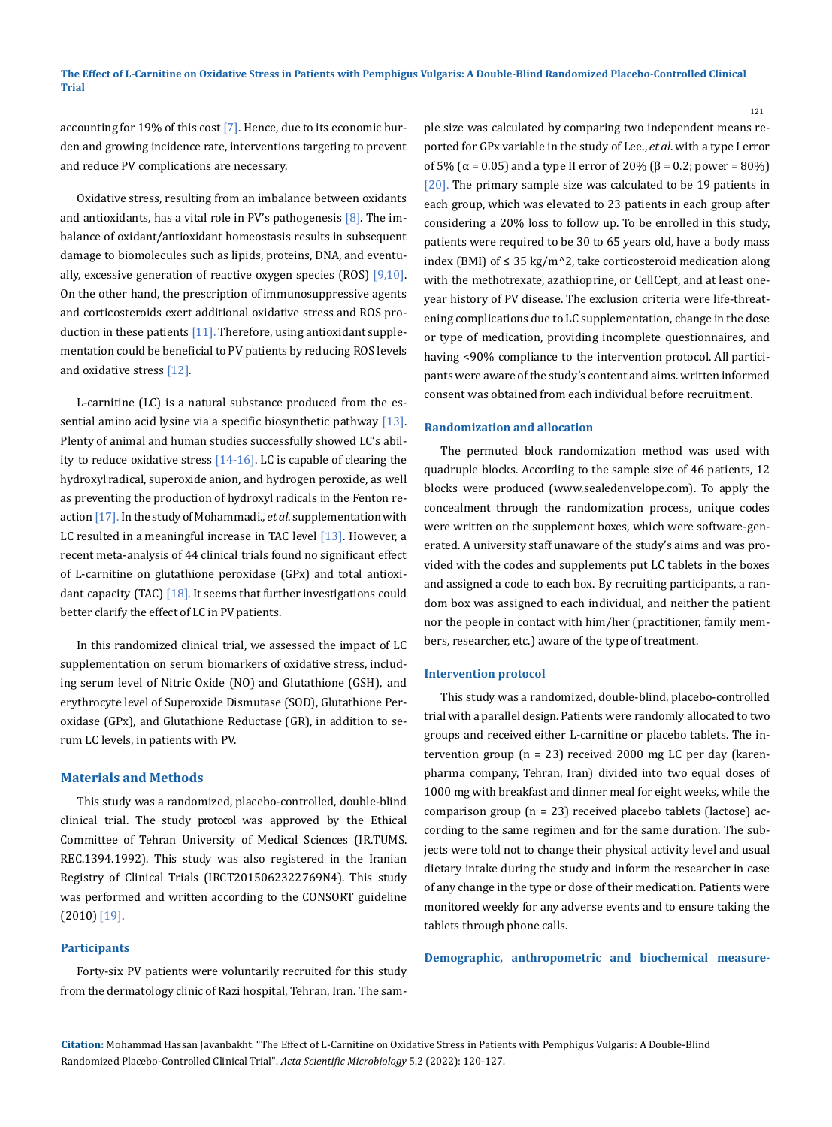accounting for 19% of this cost [7]. Hence, due to its economic burden and growing incidence rate, interventions targeting to prevent and reduce PV complications are necessary.

Oxidative stress, resulting from an imbalance between oxidants and antioxidants, has a vital role in PV's pathogenesis  $[8]$ . The imbalance of oxidant/antioxidant homeostasis results in subsequent damage to biomolecules such as lipids, proteins, DNA, and eventually, excessive generation of reactive oxygen species (ROS)  $[9,10]$ . On the other hand, the prescription of immunosuppressive agents and corticosteroids exert additional oxidative stress and ROS production in these patients  $[11]$ . Therefore, using antioxidant supplementation could be beneficial to PV patients by reducing ROS levels and oxidative stress [12].

L-carnitine (LC) is a natural substance produced from the essential amino acid lysine via a specific biosynthetic pathway  $[13]$ . Plenty of animal and human studies successfully showed LC's ability to reduce oxidative stress  $[14-16]$ . LC is capable of clearing the hydroxyl radical, superoxide anion, and hydrogen peroxide, as well as preventing the production of hydroxyl radicals in the Fenton reaction [17]. In the study of Mohammadi., *et al*. supplementation with LC resulted in a meaningful increase in TAC level  $[13]$ . However, a recent meta-analysis of 44 clinical trials found no significant effect of L-carnitine on glutathione peroxidase (GPx) and total antioxidant capacity (TAC) [18]. It seems that further investigations could better clarify the effect of LC in PV patients.

In this randomized clinical trial, we assessed the impact of LC supplementation on serum biomarkers of oxidative stress, including serum level of Nitric Oxide (NO) and Glutathione (GSH), and erythrocyte level of Superoxide Dismutase (SOD), Glutathione Peroxidase (GPx), and Glutathione Reductase (GR), in addition to serum LC levels, in patients with PV.

#### **Materials and Methods**

This study was a randomized, placebo-controlled, double-blind clinical trial. The study protocol was approved by the Ethical Committee of Tehran University of Medical Sciences (IR.TUMS. REC.1394.1992). This study was also registered in the Iranian Registry of Clinical Trials (IRCT2015062322769N4). This study was performed and written according to the CONSORT guideline (2010) [19].

#### **Participants**

Forty-six PV patients were voluntarily recruited for this study from the dermatology clinic of Razi hospital, Tehran, Iran. The sample size was calculated by comparing two independent means reported for GPx variable in the study of Lee., *et al*. with a type I error of 5% ( $\alpha$  = 0.05) and a type II error of 20% ( $\beta$  = 0.2; power = 80%) [20]. The primary sample size was calculated to be 19 patients in each group, which was elevated to 23 patients in each group after considering a 20% loss to follow up. To be enrolled in this study, patients were required to be 30 to 65 years old, have a body mass index (BMI) of ≤ 35 kg/m<sup> $\land$ 2</sup>, take corticosteroid medication along with the methotrexate, [azathioprine,](https://www.google.com/search?client=firefox-b-ab&q=azathioprine&spell=1&sa=X&ved=2ahUKEwjB_KGVpM3uAhWvSxUIHTz3BLgQkeECKAB6BAglECw&biw=1280&bih=915) or CellCept, and at least oneyear history of PV disease. The exclusion criteria were life-threatening complications due to LC supplementation, change in the dose or type of medication, providing incomplete questionnaires, and having <90% compliance to the intervention protocol. All participants were aware of the study's content and aims. written informed consent was obtained from each individual before recruitment.

121

#### **Randomization and allocation**

The permuted block randomization method was used with quadruple blocks. According to the sample size of 46 patients, 12 blocks were produced (www.sealedenvelope.com). To apply the concealment through the randomization process, unique codes were written on the supplement boxes, which were software-generated. A university staff unaware of the study's aims and was provided with the codes and supplements put LC tablets in the boxes and assigned a code to each box. By recruiting participants, a random box was assigned to each individual, and neither the patient nor the people in contact with him/her (practitioner, family members, researcher, etc.) aware of the type of treatment.

#### **Intervention protocol**

This study was a randomized, double-blind, placebo-controlled trial with a parallel design. Patients were randomly allocated to two groups and received either L-carnitine or placebo tablets. The intervention group (n = 23) received 2000 mg LC per day (karenpharma company, Tehran, Iran) divided into two equal doses of 1000 mg with breakfast and dinner meal for eight weeks, while the comparison group (n = 23) received placebo tablets (lactose) according to the same regimen and for the same duration. The subjects were told not to change their physical activity level and usual dietary intake during the study and inform the researcher in case of any change in the type or dose of their medication. Patients were monitored weekly for any adverse events and to ensure taking the tablets through phone calls.

**Demographic, anthropometric and biochemical measure-**

**Citation:** Mohammad Hassan Javanbakht*.* "The Effect of L-Carnitine on Oxidative Stress in Patients with Pemphigus Vulgaris: A Double-Blind Randomized Placebo-Controlled Clinical Trial". *Acta Scientific Microbiology* 5.2 (2022): 120-127.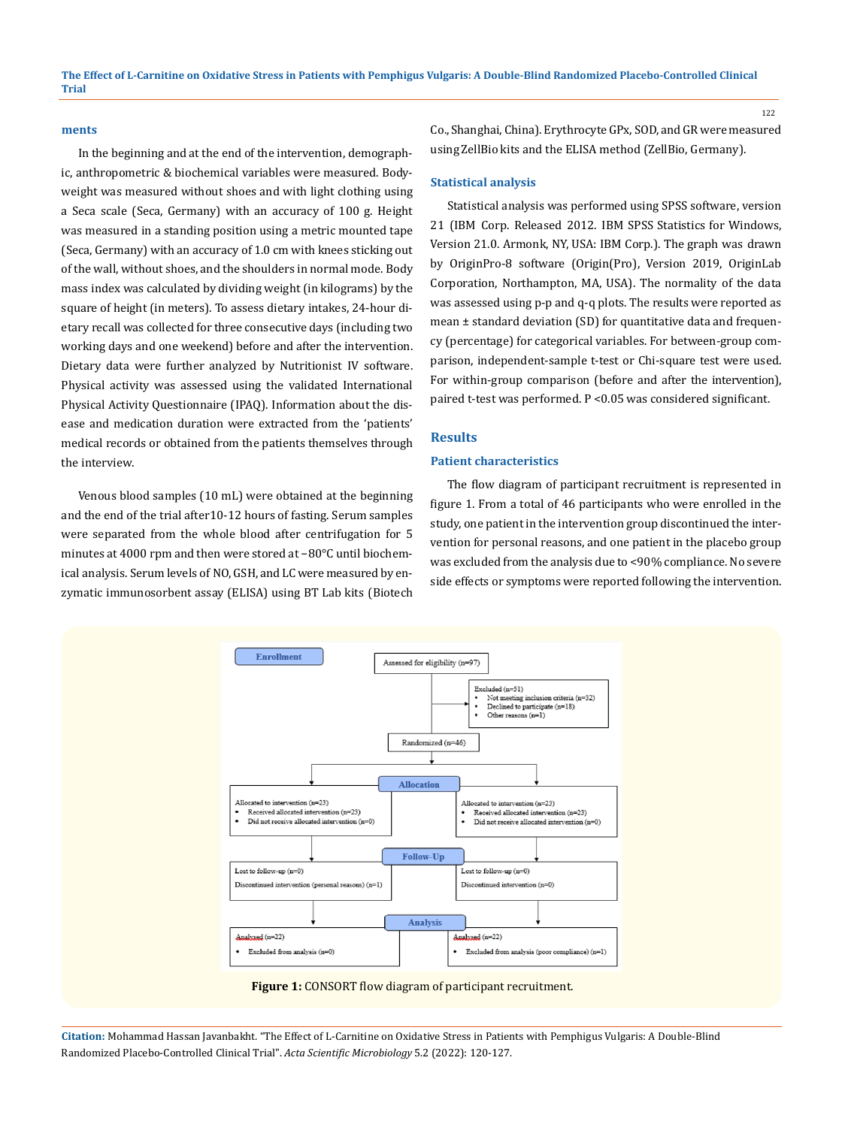#### **ments**

In the beginning and at the end of the intervention, demographic, anthropometric & biochemical variables were measured. Bodyweight was measured without shoes and with light clothing using a Seca scale (Seca, Germany) with an accuracy of 100 g. Height was measured in a standing position using a metric mounted tape (Seca, Germany) with an accuracy of 1.0 cm with knees sticking out of the wall, without shoes, and the shoulders in normal mode. Body mass index was calculated by dividing weight (in kilograms) by the square of height (in meters). To assess dietary intakes, 24-hour dietary recall was collected for three consecutive days (including two working days and one weekend) before and after the intervention. Dietary data were further analyzed by Nutritionist IV software. Physical activity was assessed using the validated International Physical Activity Questionnaire (IPAQ). Information about the disease and medication duration were extracted from the 'patients' medical records or obtained from the patients themselves through the interview.

Venous blood samples (10 mL) were obtained at the beginning and the end of the trial after 10-12 hours of fasting. Serum samples were separated from the whole blood after centrifugation for 5 minutes at 4000 rpm and then were stored at −80°C until biochemical analysis. Serum levels of NO, GSH, and LC were measured by enzymatic immunosorbent assay (ELISA) using BT Lab kits (Biotech Co., Shanghai, China). Erythrocyte GPx, SOD, and GR were measured using ZellBio kits and the ELISA method (ZellBio, Germany).

#### **Statistical analysis**

Statistical analysis was performed using SPSS software, version 21 (IBM Corp. Released 2012. IBM SPSS Statistics for Windows, Version 21.0. Armonk, NY, USA: IBM Corp.). The graph was drawn by OriginPro-8 software (Origin(Pro), Version 2019, OriginLab Corporation, Northampton, MA, USA). The normality of the data was assessed using p-p and q-q plots. The results were reported as mean ± standard deviation (SD) for quantitative data and frequency (percentage) for categorical variables. For between-group comparison, independent-sample t-test or Chi-square test were used. For within-group comparison (before and after the intervention), paired t-test was performed. P <0.05 was considered significant.

### **Results**

### **Patient characteristics**

The flow diagram of participant recruitment is represented in figure 1. From a total of 46 participants who were enrolled in the study, one patient in the intervention group discontinued the intervention for personal reasons, and one patient in the placebo group was excluded from the analysis due to <90% compliance. No severe side effects or symptoms were reported following the intervention.



**Citation:** Mohammad Hassan Javanbakht*.* "The Effect of L-Carnitine on Oxidative Stress in Patients with Pemphigus Vulgaris: A Double-Blind Randomized Placebo-Controlled Clinical Trial". *Acta Scientific Microbiology* 5.2 (2022): 120-127.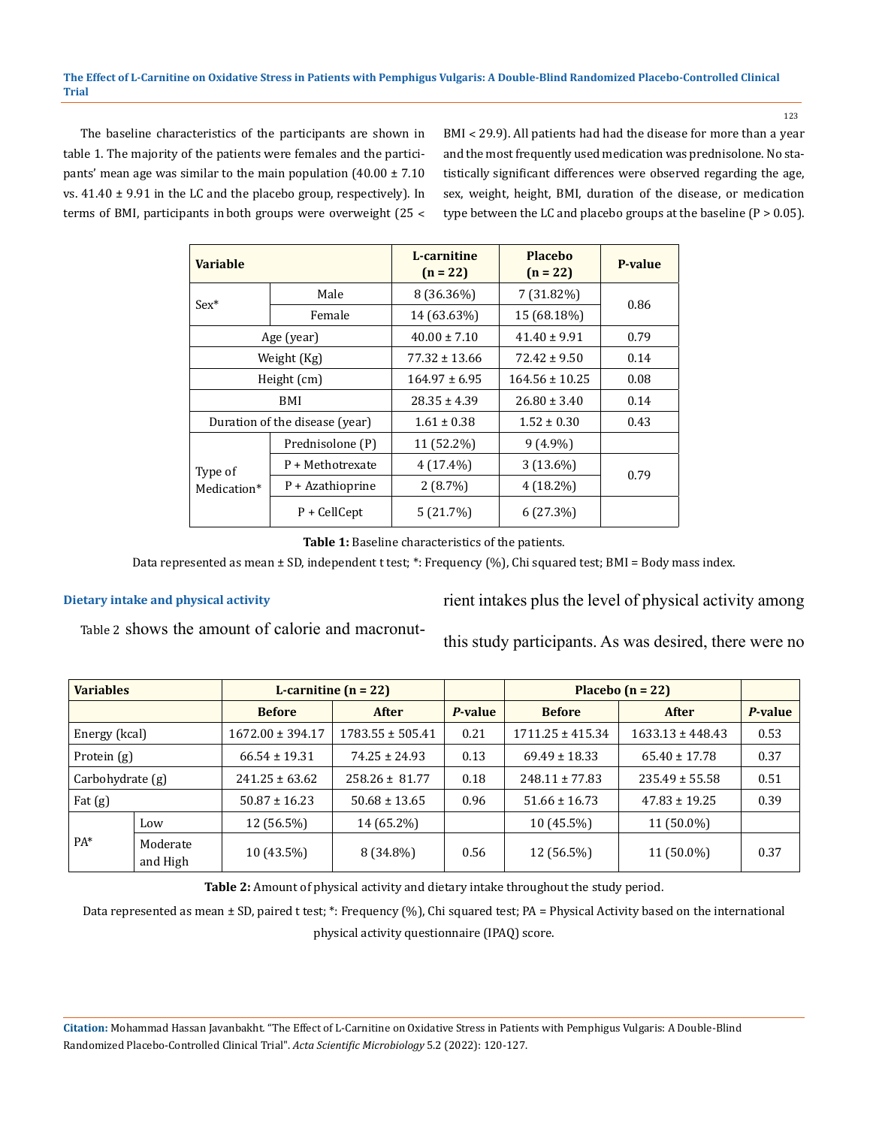The baseline characteristics of the participants are shown in table 1. The majority of the patients were females and the participants' mean age was similar to the main population  $(40.00 \pm 7.10)$ vs. 41.40 ± 9.91 in the LC and the placebo group, respectively). In terms of BMI, participants in both groups were overweight (25 ˂ BMI ˂ 29.9). All patients had had the disease for more than a year and the most frequently used medication was prednisolone. No statistically significant differences were observed regarding the age, sex, weight, height, BMI, duration of the disease, or medication type between the LC and placebo groups at the baseline  $(P > 0.05)$ .

| <b>Variable</b>                |                    | L-carnitine<br>$(n = 22)$ | <b>Placebo</b><br>$(n = 22)$ | <b>P-value</b> |  |
|--------------------------------|--------------------|---------------------------|------------------------------|----------------|--|
|                                | Male               | $8(36.36\%)$              | 7 (31.82%)                   | 0.86           |  |
| $Sex^*$                        | Female             | 14 (63.63%)               | 15 (68.18%)                  |                |  |
| Age (year)                     |                    | $40.00 \pm 7.10$          | $41.40 \pm 9.91$             | 0.79           |  |
| Weight (Kg)                    |                    | $77.32 \pm 13.66$         | $72.42 \pm 9.50$             | 0.14           |  |
|                                | Height (cm)        | $164.97 \pm 6.95$         | $164.56 \pm 10.25$           | 0.08           |  |
| BMI                            |                    | $28.35 \pm 4.39$          | $26.80 \pm 3.40$             | 0.14           |  |
| Duration of the disease (year) |                    | $1.61 \pm 0.38$           | $1.52 \pm 0.30$              | 0.43           |  |
| Type of<br>Medication*         | Prednisolone (P)   | 11 (52.2%)                | $9(4.9\%)$                   |                |  |
|                                | P + Methotrexate   | $4(17.4\%)$               | $3(13.6\%)$                  |                |  |
|                                | $P + Azathioprine$ | 2(8.7%)                   | $4(18.2\%)$                  | 0.79           |  |
|                                | $P +$ CellCept     | 5(21.7%)                  | 6(27.3%)                     |                |  |

**Table 1:** Baseline characteristics of the patients.

Data represented as mean ± SD, independent t test; \*: Frequency (%), Chi squared test; BMI = Body mass index.

### **Dietary intake and physical activity**

rient intakes plus the level of physical activity among

Table 2 shows the amount of calorie and macronut-

this study participants. As was desired, there were no

| <b>Variables</b> |                      | L-carnitine $(n = 22)$ |                      |         | Placebo $(n = 22)$   |                      |         |
|------------------|----------------------|------------------------|----------------------|---------|----------------------|----------------------|---------|
|                  |                      | <b>Before</b>          | <b>After</b>         | P-value | <b>Before</b>        | <b>After</b>         | P-value |
| Energy (kcal)    |                      | $1672.00 \pm 394.17$   | $1783.55 \pm 505.41$ | 0.21    | $1711.25 \pm 415.34$ | $1633.13 \pm 448.43$ | 0.53    |
| Protein (g)      |                      | $66.54 \pm 19.31$      | $74.25 \pm 24.93$    | 0.13    | $69.49 \pm 18.33$    | $65.40 \pm 17.78$    | 0.37    |
| Carbohydrate (g) |                      | $241.25 \pm 63.62$     | $258.26 \pm 81.77$   | 0.18    | $248.11 \pm 77.83$   | $235.49 \pm 55.58$   | 0.51    |
| Fat $(g)$        |                      | $50.87 \pm 16.23$      | $50.68 \pm 13.65$    | 0.96    | $51.66 \pm 16.73$    | $47.83 \pm 19.25$    | 0.39    |
| PA*              | Low                  | 12 (56.5%)             | 14 (65.2%)           |         | $10(45.5\%)$         | $11(50.0\%)$         |         |
|                  | Moderate<br>and High | 10 (43.5%)             | $8(34.8\%)$          | 0.56    | 12 (56.5%)           | 11 (50.0%)           | 0.37    |

**Table 2:** Amount of physical activity and dietary intake throughout the study period.

Data represented as mean ± SD, paired t test; \*: Frequency (%), Chi squared test; PA = Physical Activity based on the international physical activity questionnaire (IPAQ) score.

**Citation:** Mohammad Hassan Javanbakht*.* "The Effect of L-Carnitine on Oxidative Stress in Patients with Pemphigus Vulgaris: A Double-Blind Randomized Placebo-Controlled Clinical Trial". *Acta Scientific Microbiology* 5.2 (2022): 120-127.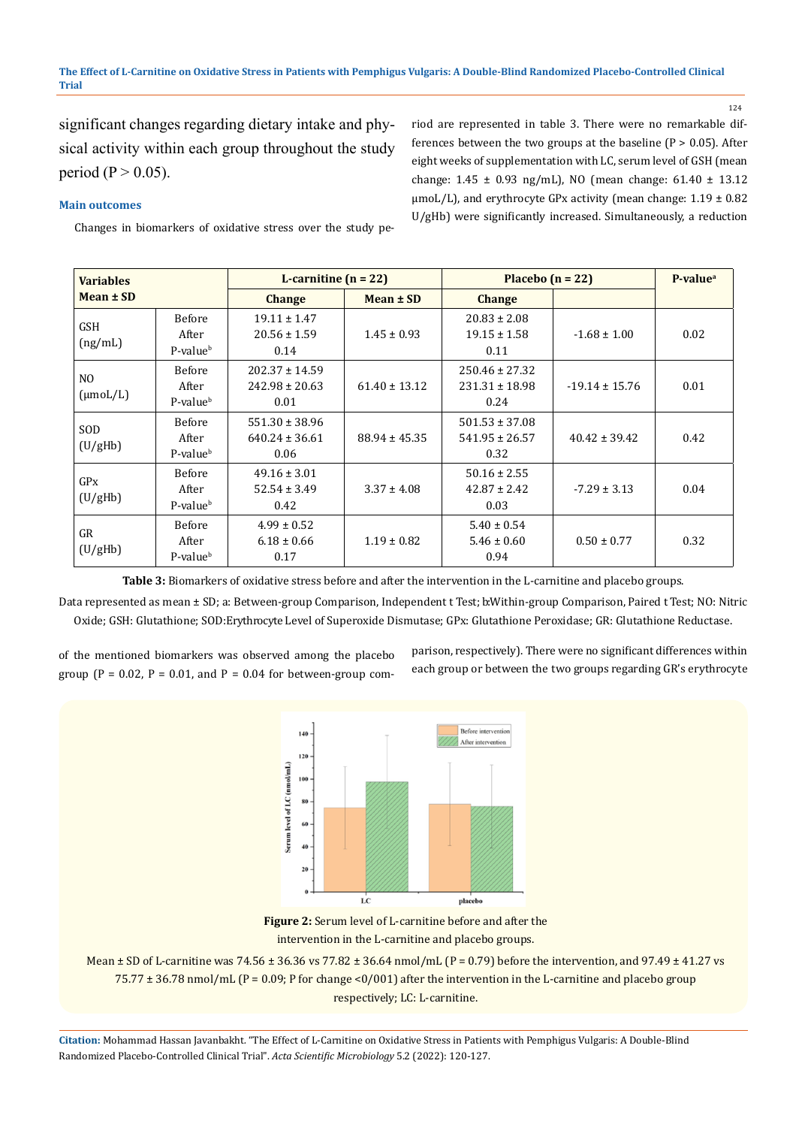124

significant changes regarding dietary intake and physical activity within each group throughout the study period ( $P > 0.05$ ).

riod are represented in table 3. There were no remarkable differences between the two groups at the baseline  $(P > 0.05)$ . After eight weeks of supplementation with LC, serum level of GSH (mean change: 1.45 ± 0.93 ng/mL), NO (mean change: 61.40 ± 13.12  $\mu$ moL/L), and erythrocyte GPx activity (mean change: 1.19  $\pm$  0.82 U/gHb) were significantly increased. Simultaneously, a reduction

**Main outcomes**

Changes in biomarkers of oxidative stress over the study pe-

| <b>Variables</b><br>$Mean \pm SD$      |                                                | L-carnitine $(n = 22)$                           |                   | Placebo $(n = 22)$                               |                    | P-value <sup>a</sup> |
|----------------------------------------|------------------------------------------------|--------------------------------------------------|-------------------|--------------------------------------------------|--------------------|----------------------|
|                                        |                                                | <b>Change</b>                                    | $Mean \pm SD$     | <b>Change</b>                                    |                    |                      |
| <b>GSH</b><br>(ng/mL)                  | <b>Before</b><br>After<br>P-value <sup>b</sup> | $19.11 \pm 1.47$<br>$20.56 \pm 1.59$<br>0.14     | $1.45 \pm 0.93$   | $20.83 \pm 2.08$<br>$19.15 \pm 1.58$<br>0.11     | $-1.68 \pm 1.00$   | 0.02                 |
| N <sub>O</sub><br>$(\mu \text{mol/L})$ | <b>Before</b><br>After<br>P-value <sup>b</sup> | $202.37 \pm 14.59$<br>$242.98 \pm 20.63$<br>0.01 | $61.40 \pm 13.12$ | $250.46 \pm 27.32$<br>$231.31 \pm 18.98$<br>0.24 | $-19.14 \pm 15.76$ | 0.01                 |
| SOD<br>(U/gHb)                         | <b>Before</b><br>After<br>P-value <sup>b</sup> | $551.30 \pm 38.96$<br>$640.24 \pm 36.61$<br>0.06 | $88.94 \pm 45.35$ | $501.53 \pm 37.08$<br>$541.95 \pm 26.57$<br>0.32 | $40.42 \pm 39.42$  | 0.42                 |
| GPX<br>(U/gHb)                         | <b>Before</b><br>After<br>P-value <sup>b</sup> | $49.16 \pm 3.01$<br>$52.54 \pm 3.49$<br>0.42     | $3.37 \pm 4.08$   | $50.16 \pm 2.55$<br>$42.87 \pm 2.42$<br>0.03     | $-7.29 \pm 3.13$   | 0.04                 |
| GR<br>(U/gHb)                          | <b>Before</b><br>After<br>P-value <sup>b</sup> | $4.99 \pm 0.52$<br>$6.18 \pm 0.66$<br>0.17       | $1.19 \pm 0.82$   | $5.40 \pm 0.54$<br>$5.46 \pm 0.60$<br>0.94       | $0.50 \pm 0.77$    | 0.32                 |

**Table 3:** Biomarkers of oxidative stress before and after the intervention in the L-carnitine and placebo groups.

Data represented as mean ± SD; a: Between-group Comparison, Independent t Test; bWithin-group Comparison, Paired t Test; NO: Nitric Oxide; GSH: Glutathione; SOD: Erythrocyte Level of Superoxide Dismutase; GPx: Glutathione Peroxidase; GR: Glutathione Reductase.

of the mentioned biomarkers was observed among the placebo group ( $P = 0.02$ ,  $P = 0.01$ , and  $P = 0.04$  for between-group comparison, respectively). There were no significant differences within each group or between the two groups regarding GR's erythrocyte



**Figure 2:** Serum level of L-carnitine before and after the intervention in the L-carnitine and placebo groups.

Mean  $\pm$  SD of L-carnitine was 74.56  $\pm$  36.36 vs 77.82  $\pm$  36.64 nmol/mL (P = 0.79) before the intervention, and 97.49  $\pm$  41.27 vs 75.77  $\pm$  36.78 nmol/mL (P = 0.09; P for change <0/001) after the intervention in the L-carnitine and placebo group respectively; LC: L-carnitine.

**Citation:** Mohammad Hassan Javanbakht*.* "The Effect of L-Carnitine on Oxidative Stress in Patients with Pemphigus Vulgaris: A Double-Blind Randomized Placebo-Controlled Clinical Trial". *Acta Scientific Microbiology* 5.2 (2022): 120-127.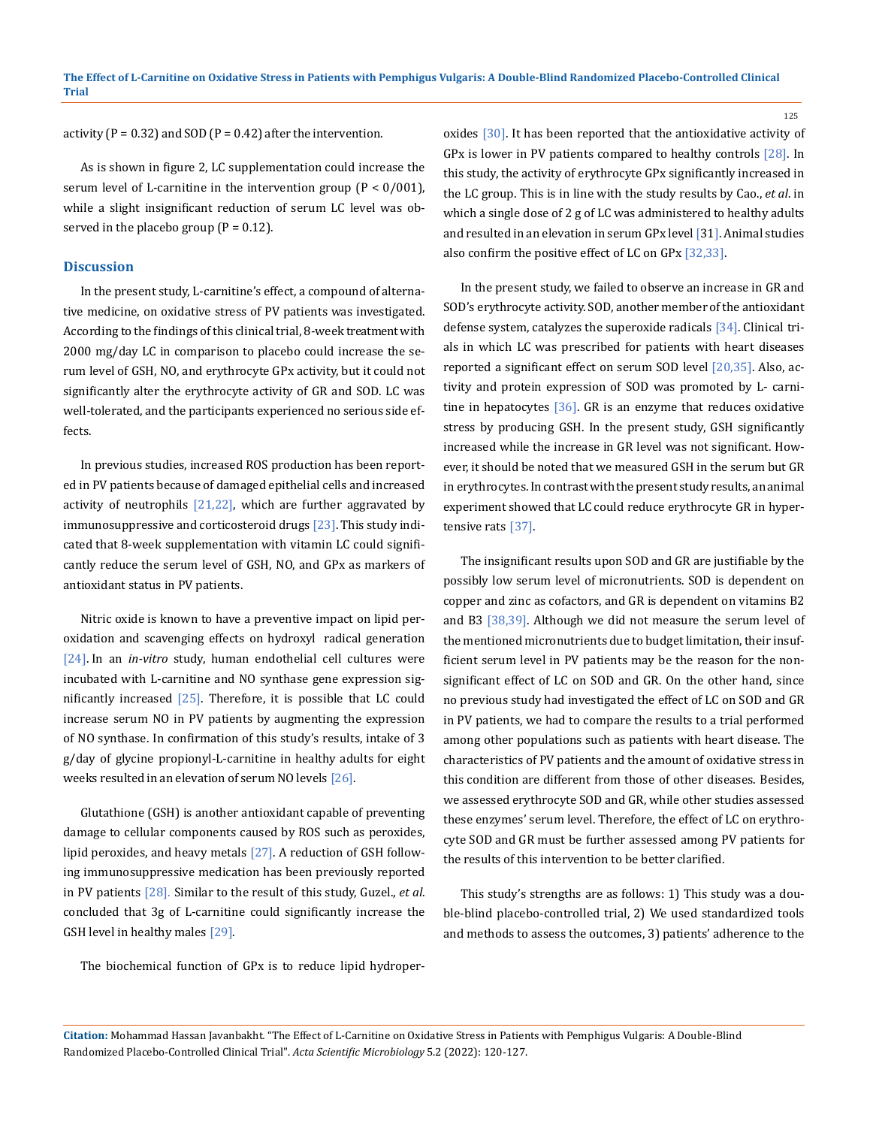activity ( $P = 0.32$ ) and SOD ( $P = 0.42$ ) after the intervention.

As is shown in figure 2, LC supplementation could increase the serum level of L-carnitine in the intervention group  $(P < 0/001)$ , while a slight insignificant reduction of serum LC level was observed in the placebo group  $(P = 0.12)$ .

#### **Discussion**

In the present study, L-carnitine's effect, a compound of alternative medicine, on oxidative stress of PV patients was investigated. According to the findings of this clinical trial, 8‑week treatment with 2000 mg/day LC in comparison to placebo could increase the serum level of GSH, NO, and erythrocyte GPx activity, but it could not significantly alter the erythrocyte activity of GR and SOD. LC was well-tolerated, and the participants experienced no serious side effects.

In previous studies, increased ROS production has been reported in PV patients because of damaged epithelial cells and increased activity of neutrophils  $[21,22]$ , which are further aggravated by immunosuppressive and corticosteroid drugs [23]. This study indicated that 8-week supplementation with vitamin LC could significantly reduce the serum level of GSH, NO, and GPx as markers of antioxidant status in PV patients.

Nitric oxide is known to have a preventive impact on lipid peroxidation and scavenging effects on hydroxyl radical generation [24]. In an *in-vitro* study, human endothelial cell cultures were incubated with L-carnitine and NO synthase gene expression significantly increased  $[25]$ . Therefore, it is possible that LC could increase serum NO in PV patients by augmenting the expression of NO synthase. In confirmation of this study's results, intake of 3 g/day of glycine propionyl-L-carnitine in healthy adults for eight weeks resulted in an elevation of serum NO levels [26].

Glutathione (GSH) is another antioxidant capable of preventing damage to cellular components caused by ROS such as peroxides, lipid peroxides, and heavy metals  $[27]$ . A reduction of GSH following immunosuppressive medication has been previously reported in PV patients [28]. Similar to the result of this study, Guzel., *et al*. concluded that 3g of L-carnitine could significantly increase the GSH level in healthy males [29].

oxides [30]. It has been reported that the antioxidative activity of GPx is lower in PV patients compared to healthy controls [28]. In this study, the activity of erythrocyte GPx significantly increased in the LC group. This is in line with the study results by Cao., *et al*. in which a single dose of 2 g of LC was administered to healthy adults and resulted in an elevation in serum GPx level [31]. Animal studies also confirm the positive effect of LC on GPx [32,33].

In the present study, we failed to observe an increase in GR and SOD's erythrocyte activity. SOD, another member of the antioxidant defense system, catalyzes the superoxide radicals [34]. Clinical trials in which LC was prescribed for patients with heart diseases reported a significant effect on serum SOD level [20,35]. Also, activity and protein expression of SOD was promoted by L- carnitine in hepatocytes [36]. GR is an enzyme that reduces oxidative stress by producing GSH. In the present study, GSH significantly increased while the increase in GR level was not significant. However, it should be noted that we measured GSH in the serum but GR in erythrocytes. In contrast with the present study results, an animal experiment showed that LC could reduce erythrocyte GR in hypertensive rats [37].

The insignificant results upon SOD and GR are justifiable by the possibly low serum level of micronutrients. SOD is dependent on copper and zinc as cofactors, and GR is dependent on vitamins B2 and B3 [38,39]. Although we did not measure the serum level of the mentioned micronutrients due to budget limitation, their insufficient serum level in PV patients may be the reason for the nonsignificant effect of LC on SOD and GR. On the other hand, since no previous study had investigated the effect of LC on SOD and GR in PV patients, we had to compare the results to a trial performed among other populations such as patients with heart disease. The characteristics of PV patients and the amount of oxidative stress in this condition are different from those of other diseases. Besides, we assessed erythrocyte SOD and GR, while other studies assessed these enzymes' serum level. Therefore, the effect of LC on erythrocyte SOD and GR must be further assessed among PV patients for the results of this intervention to be better clarified.

This study's strengths are as follows: 1) This study was a double-blind placebo-controlled trial, 2) We used standardized tools and methods to assess the outcomes, 3) patients' adherence to the

The biochemical function of GPx is to reduce lipid hydroper-

**Citation:** Mohammad Hassan Javanbakht*.* "The Effect of L-Carnitine on Oxidative Stress in Patients with Pemphigus Vulgaris: A Double-Blind Randomized Placebo-Controlled Clinical Trial". *Acta Scientific Microbiology* 5.2 (2022): 120-127.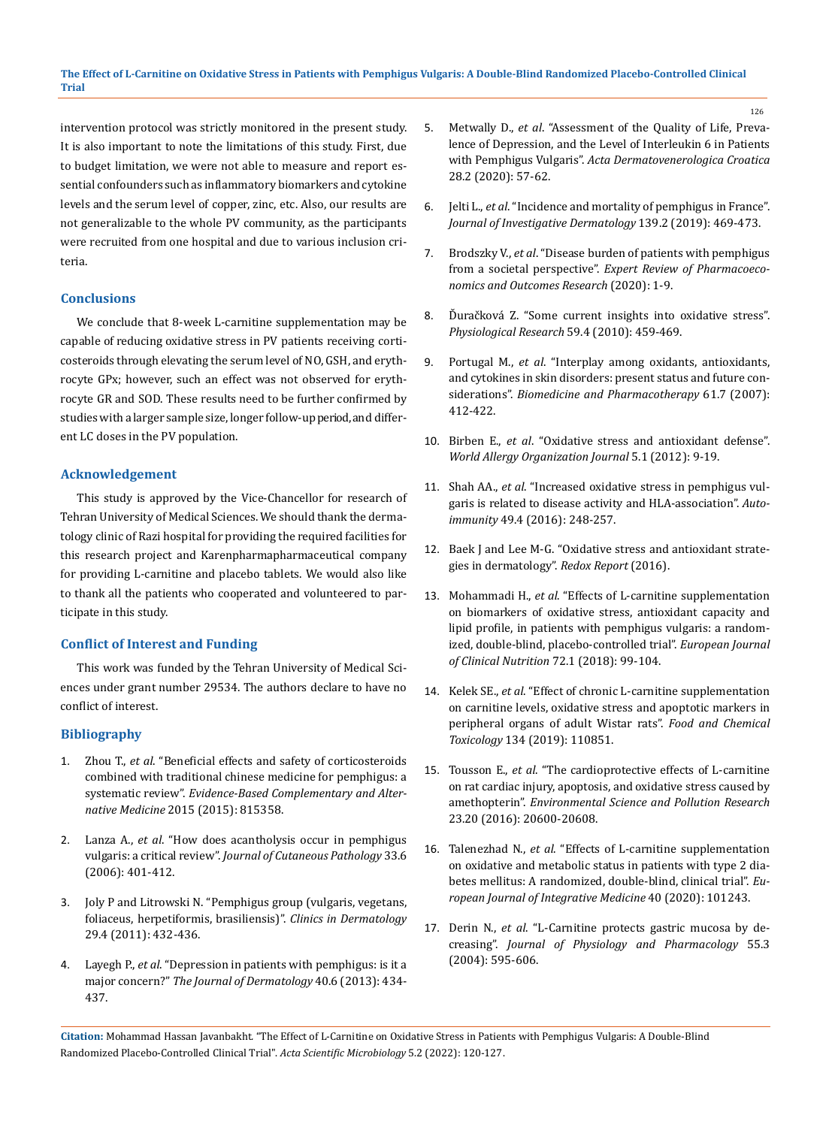intervention protocol was strictly monitored in the present study. It is also important to note the limitations of this study. First, due to budget limitation, we were not able to measure and report essential confounders such as inflammatory biomarkers and cytokine levels and the serum level of copper, zinc, etc. Also, our results are not generalizable to the whole PV community, as the participants were recruited from one hospital and due to various inclusion criteria.

### **Conclusions**

We conclude that 8-week L-carnitine supplementation may be capable of reducing oxidative stress in PV patients receiving corticosteroids through elevating the serum level of NO, GSH, and erythrocyte GPx; however, such an effect was not observed for erythrocyte GR and SOD. These results need to be further confirmed by studies with a larger sample size, longer follow-up period, and different LC doses in the PV population.

### **Acknowledgement**

This study is approved by the Vice-Chancellor for research of Tehran University of Medical Sciences. We should thank the dermatology clinic of Razi hospital for providing the required facilities for this research project and Karenpharmapharmaceutical company for providing L-carnitine and placebo tablets. We would also like to thank all the patients who cooperated and volunteered to participate in this study.

# **Conflict of Interest and Funding**

This work was funded by the Tehran University of Medical Sciences under grant number 29534. The authors declare to have no conflict of interest.

# **Bibliography**

- 1. Zhou T., *et al*[. "Beneficial effects and safety of corticosteroids](https://www.hindawi.com/journals/ecam/2015/815358/)  [combined with traditional chinese medicine for pemphigus: a](https://www.hindawi.com/journals/ecam/2015/815358/)  systematic review". *[Evidence-Based Complementary and Alter](https://www.hindawi.com/journals/ecam/2015/815358/)native Medicine* [2015 \(2015\): 815358.](https://www.hindawi.com/journals/ecam/2015/815358/)
- 2. Lanza A., *et al*[. "How does acantholysis occur in pemphigus](https://pubmed.ncbi.nlm.nih.gov/16776715/)  vulgaris: a critical review". *[Journal of Cutaneous Pathology](https://pubmed.ncbi.nlm.nih.gov/16776715/)* 33.6 [\(2006\): 401-412.](https://pubmed.ncbi.nlm.nih.gov/16776715/)
- 3. [Joly P and Litrowski N. "Pemphigus group \(vulgaris, vegetans,](https://pubmed.ncbi.nlm.nih.gov/21679871/)  [foliaceus, herpetiformis, brasiliensis\)".](https://pubmed.ncbi.nlm.nih.gov/21679871/) *Clinics in Dermatology* [29.4 \(2011\): 432-436.](https://pubmed.ncbi.nlm.nih.gov/21679871/)
- 4. Layegh P., *et al*[. "Depression in patients with pemphigus: is it a](https://pubmed.ncbi.nlm.nih.gov/23621570/)  major concern?" *[The Journal of Dermatology](https://pubmed.ncbi.nlm.nih.gov/23621570/)* 40.6 (2013): 434- [437.](https://pubmed.ncbi.nlm.nih.gov/23621570/)
- 5. Metwally D., *et al*[. "Assessment of the Quality of Life, Preva](https://pubmed.ncbi.nlm.nih.gov/32876029/)[lence of Depression, and the Level of Interleukin 6 in Patients](https://pubmed.ncbi.nlm.nih.gov/32876029/)  with Pemphigus Vulgaris". *[Acta Dermatovenerologica Croatica](https://pubmed.ncbi.nlm.nih.gov/32876029/)* [28.2 \(2020\): 57-62.](https://pubmed.ncbi.nlm.nih.gov/32876029/)
- 6. Jelti L., *et al*[. "Incidence and mortality of pemphigus in France".](https://www.sciencedirect.com/science/article/am/pii/S0022202X18325752)  *[Journal of Investigative Dermatology](https://www.sciencedirect.com/science/article/am/pii/S0022202X18325752)* 139.2 (2019): 469-473.
- 7. Brodszky V., *et al*[. "Disease burden of patients with pemphigus](https://pubmed.ncbi.nlm.nih.gov/31978314/)  from a societal perspective". *[Expert Review of Pharmacoeco](https://pubmed.ncbi.nlm.nih.gov/31978314/)[nomics and Outcomes Research](https://pubmed.ncbi.nlm.nih.gov/31978314/)* (2020): 1-9.
- 8. [Ďuračková Z. "Some current insights into oxidative stress".](https://pubmed.ncbi.nlm.nih.gov/19929132/)  *[Physiological Research](https://pubmed.ncbi.nlm.nih.gov/19929132/)* 59.4 (2010): 459-469.
- 9. Portugal M., *et al*[. "Interplay among oxidants, antioxidants,](https://pubmed.ncbi.nlm.nih.gov/17604942/)  [and cytokines in skin disorders: present status and future con](https://pubmed.ncbi.nlm.nih.gov/17604942/)siderations". *[Biomedicine and Pharmacotherapy](https://pubmed.ncbi.nlm.nih.gov/17604942/)* 61.7 (2007): [412-422.](https://pubmed.ncbi.nlm.nih.gov/17604942/)
- 10. Birben E., *et al*[. "Oxidative stress and antioxidant defense".](https://pubmed.ncbi.nlm.nih.gov/23268465/)  *[World Allergy Organization Journal](https://pubmed.ncbi.nlm.nih.gov/23268465/)* 5.1 (2012): 9-19.
- 11. Shah AA., *et al*[. "Increased oxidative stress in pemphigus vul](https://pubmed.ncbi.nlm.nih.gov/26911801/)[garis is related to disease activity and HLA-association".](https://pubmed.ncbi.nlm.nih.gov/26911801/) *Autoimmunity* [49.4 \(2016\): 248-257.](https://pubmed.ncbi.nlm.nih.gov/26911801/)
- 12. [Baek J and Lee M-G. "Oxidative stress and antioxidant strate](https://pubmed.ncbi.nlm.nih.gov/26020527/)[gies in dermatology".](https://pubmed.ncbi.nlm.nih.gov/26020527/) *Redox Report* (2016).
- 13. Mohammadi H., *et al*[. "Effects of L-carnitine supplementation](https://pubmed.ncbi.nlm.nih.gov/28832573/)  [on biomarkers of oxidative stress, antioxidant capacity and](https://pubmed.ncbi.nlm.nih.gov/28832573/)  [lipid profile, in patients with pemphigus vulgaris: a random](https://pubmed.ncbi.nlm.nih.gov/28832573/)[ized, double-blind, placebo-controlled trial".](https://pubmed.ncbi.nlm.nih.gov/28832573/) *European Journal [of Clinical Nutrition](https://pubmed.ncbi.nlm.nih.gov/28832573/)* 72.1 (2018): 99-104.
- 14. Kelek SE., *et al*[. "Effect of chronic L-carnitine supplementation](https://pubmed.ncbi.nlm.nih.gov/31568849/)  [on carnitine levels, oxidative stress and apoptotic markers in](https://pubmed.ncbi.nlm.nih.gov/31568849/)  [peripheral organs of adult Wistar rats".](https://pubmed.ncbi.nlm.nih.gov/31568849/) *Food and Chemical Toxicology* [134 \(2019\): 110851.](https://pubmed.ncbi.nlm.nih.gov/31568849/)
- 15. Tousson E., *et al*[. "The cardioprotective effects of L-carnitine](https://pubmed.ncbi.nlm.nih.gov/27464663/)  [on rat cardiac injury, apoptosis, and oxidative stress caused by](https://pubmed.ncbi.nlm.nih.gov/27464663/)  amethopterin". *[Environmental Science and Pollution Research](https://pubmed.ncbi.nlm.nih.gov/27464663/)* [23.20 \(2016\): 20600-20608.](https://pubmed.ncbi.nlm.nih.gov/27464663/)
- 16. Talenezhad N., *et al*[. "Effects of L-carnitine supplementation](https://www.sciencedirect.com/science/article/abs/pii/S1876382020314244)  [on oxidative and metabolic status in patients with type 2 dia](https://www.sciencedirect.com/science/article/abs/pii/S1876382020314244)[betes mellitus: A randomized, double-blind, clinical trial".](https://www.sciencedirect.com/science/article/abs/pii/S1876382020314244) *Eu[ropean Journal of Integrative Medicine](https://www.sciencedirect.com/science/article/abs/pii/S1876382020314244)* 40 (2020): 101243.
- 17. Derin N., *et al*. "L-Carnitine protects gastric mucosa by decreasing". *Journal of Physiology and Pharmacology* 55.3 (2004): 595-606.

**Citation:** Mohammad Hassan Javanbakht*.* "The Effect of L-Carnitine on Oxidative Stress in Patients with Pemphigus Vulgaris: A Double-Blind Randomized Placebo-Controlled Clinical Trial". *Acta Scientific Microbiology* 5.2 (2022): 120-127.